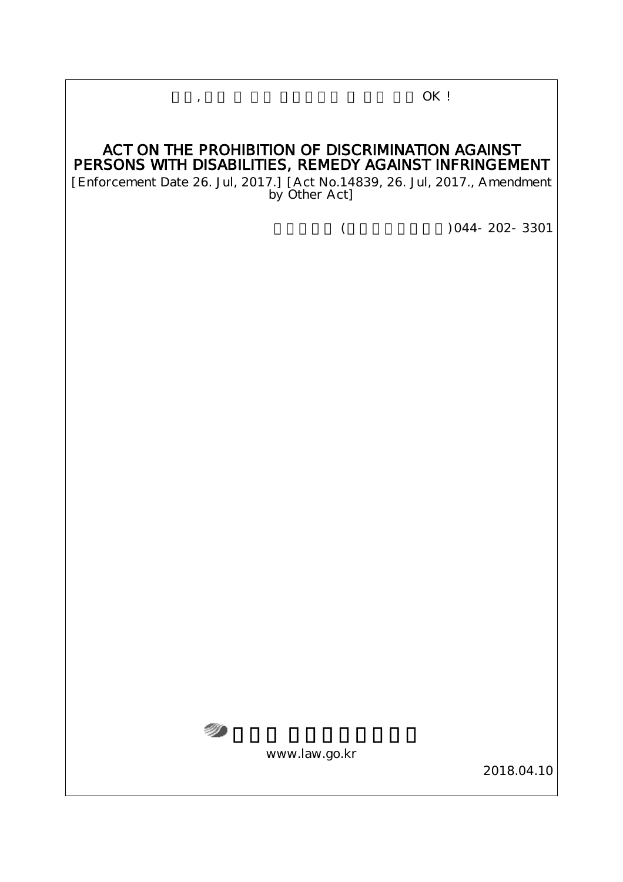# ACT ON THE PROHIBITION OF DISCRIMINATION AGAINST PERSONS WITH DISABILITIES, REMEDY AGAINST INFRINGEMENT

,  $OK!$ 

[Enforcement Date 26. Jul, 2017.] [Act No.14839, 26. Jul, 2017., Amendment by Other Act]

 $($   $)$  044-202-3301



www.law.go.kr

2018.04.10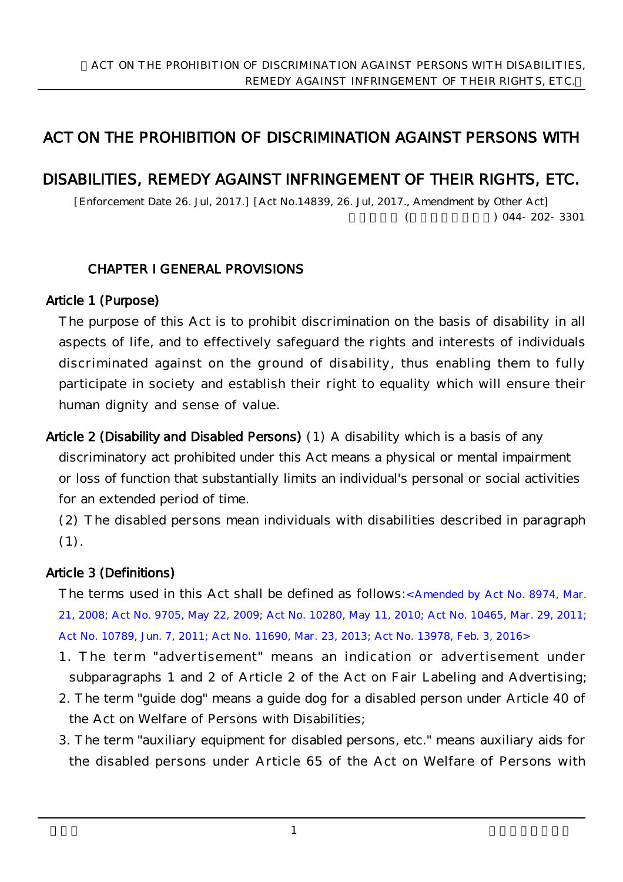# ACT ON THE PROHIBITION OF DISCRIMINATION AGAINST PERSONS WITH

## DISABILITIES, REMEDY AGAINST INFRINGEMENT OF THEIR RIGHTS, ETC.

[Enforcement Date 26. Jul, 2017.] [Act No.14839, 26. Jul, 2017., Amendment by Other Act]  $(0.44 \times 202 - 3301)$ 

#### CHAPTER I GENERAL PROVISIONS

#### Article 1 (Purpose)

The purpose of this Act is to prohibit discrimination on the basis of disability in all aspects of life, and to effectively safeguard the rights and interests of individuals discriminated against on the ground of disability, thus enabling them to fully participate in society and establish their right to equality which will ensure their human dignity and sense of value.

Article 2 (Disability and Disabled Persons) (1) A disability which is a basis of any discriminatory act prohibited under this Act means a physical or mental impairment or loss of function that substantially limits an individual's personal or social activities for an extended period of time.

(2) The disabled persons mean individuals with disabilities described in paragraph (1).

#### Article 3 (Definitions)

The terms used in this Act shall be defined as follows: Amended by Act No. 8974, Mar. 21, 2008; Act No. 9705, May 22, 2009; Act No. 10280, May 11, 2010; Act No. 10465, Mar. 29, 2011; Act No. 10789, Jun. 7, 2011; Act No. 11690, Mar. 23, 2013; Act No. 13978, Feb. 3, 2016>

1. The term "advertisement" means an indication or advertisement under subparagraphs 1 and 2 of Article 2 of the Act on Fair Labeling and Advertising;

- 2. The term "guide dog" means a guide dog for a disabled person under Article 40 of the Act on Welfare of Persons with Disabilities;
- 3. The term "auxiliary equipment for disabled persons, etc." means auxiliary aids for the disabled persons under Article 65 of the Act on Welfare of Persons with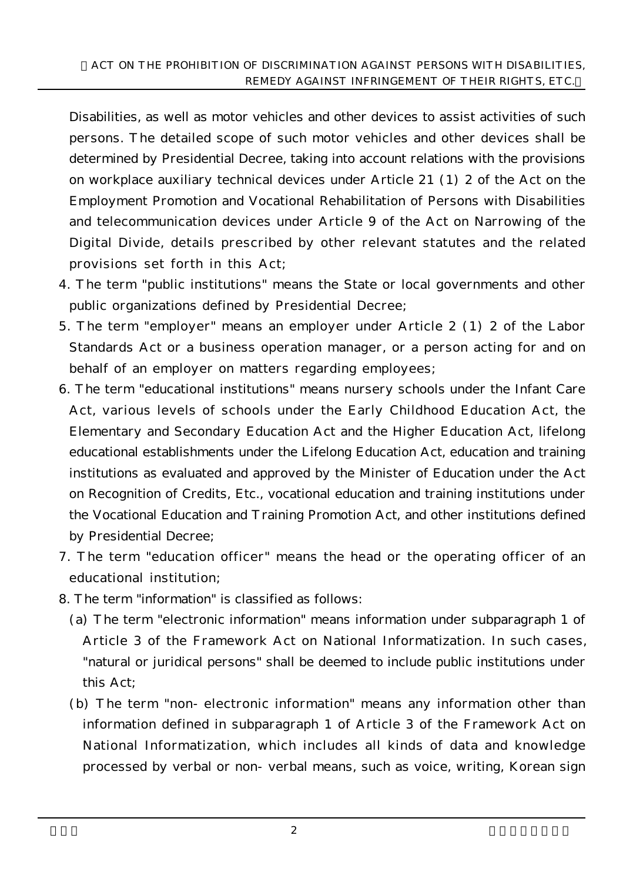Disabilities, as well as motor vehicles and other devices to assist activities of such persons. The detailed scope of such motor vehicles and other devices shall be determined by Presidential Decree, taking into account relations with the provisions on workplace auxiliary technical devices under Article 21 (1) 2 of the Act on the Employment Promotion and Vocational Rehabilitation of Persons with Disabilities and telecommunication devices under Article 9 of the Act on Narrowing of the Digital Divide, details prescribed by other relevant statutes and the related provisions set forth in this Act;

- 4. The term "public institutions" means the State or local governments and other public organizations defined by Presidential Decree;
- 5. The term "employer" means an employer under Article 2 (1) 2 of the Labor Standards Act or a business operation manager, or a person acting for and on behalf of an employer on matters regarding employees;
- 6. The term "educational institutions" means nursery schools under the Infant Care Act, various levels of schools under the Early Childhood Education Act, the Elementary and Secondary Education Act and the Higher Education Act, lifelong educational establishments under the Lifelong Education Act, education and training institutions as evaluated and approved by the Minister of Education under the Act on Recognition of Credits, Etc., vocational education and training institutions under the Vocational Education and Training Promotion Act, and other institutions defined by Presidential Decree;
- 7. The term "education officer" means the head or the operating officer of an educational institution;
- 8. The term "information" is classified as follows:
	- (a) The term "electronic information" means information under subparagraph 1 of Article 3 of the Framework Act on National Informatization. In such cases, "natural or juridical persons" shall be deemed to include public institutions under this Act;
	- (b) The term "non-electronic information" means any information other than information defined in subparagraph 1 of Article 3 of the Framework Act on National Informatization, which includes all kinds of data and knowledge processed by verbal or non-verbal means, such as voice, writing, Korean sign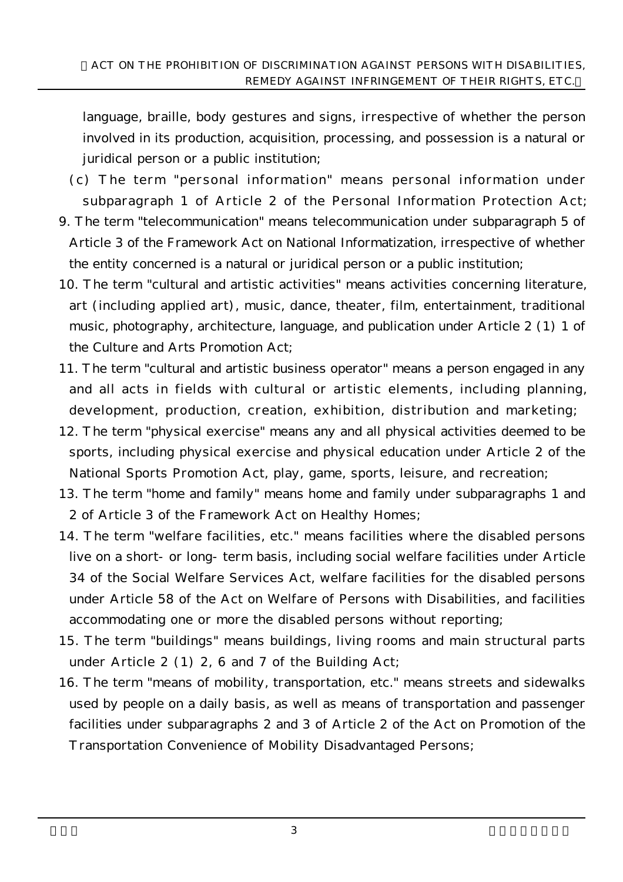language, braille, body gestures and signs, irrespective of whether the person involved in its production, acquisition, processing, and possession is a natural or juridical person or a public institution;

- (c) The term "personal information" means personal information under subparagraph 1 of Article 2 of the Personal Information Protection Act;
- 9. The term "telecommunication" means telecommunication under subparagraph 5 of Article 3 of the Framework Act on National Informatization, irrespective of whether the entity concerned is a natural or juridical person or a public institution;
- 10. The term "cultural and artistic activities" means activities concerning literature, art (including applied art), music, dance, theater, film, entertainment, traditional music, photography, architecture, language, and publication under Article 2 (1) 1 of the Culture and Arts Promotion Act;
- 11. The term "cultural and artistic business operator" means a person engaged in any and all acts in fields with cultural or artistic elements, including planning, development, production, creation, exhibition, distribution and marketing;
- 12. The term "physical exercise" means any and all physical activities deemed to be sports, including physical exercise and physical education under Article 2 of the National Sports Promotion Act, play, game, sports, leisure, and recreation;
- 13. The term "home and family" means home and family under subparagraphs 1 and 2 of Article 3 of the Framework Act on Healthy Homes;
- 14. The term "welfare facilities, etc." means facilities where the disabled persons live on a short- or long-term basis, including social welfare facilities under Article 34 of the Social Welfare Services Act, welfare facilities for the disabled persons under Article 58 of the Act on Welfare of Persons with Disabilities, and facilities accommodating one or more the disabled persons without reporting;
- 15. The term "buildings" means buildings, living rooms and main structural parts under Article 2 (1) 2, 6 and 7 of the Building Act;
- 16. The term "means of mobility, transportation, etc." means streets and sidewalks used by people on a daily basis, as well as means of transportation and passenger facilities under subparagraphs 2 and 3 of Article 2 of the Act on Promotion of the Transportation Convenience of Mobility Disadvantaged Persons;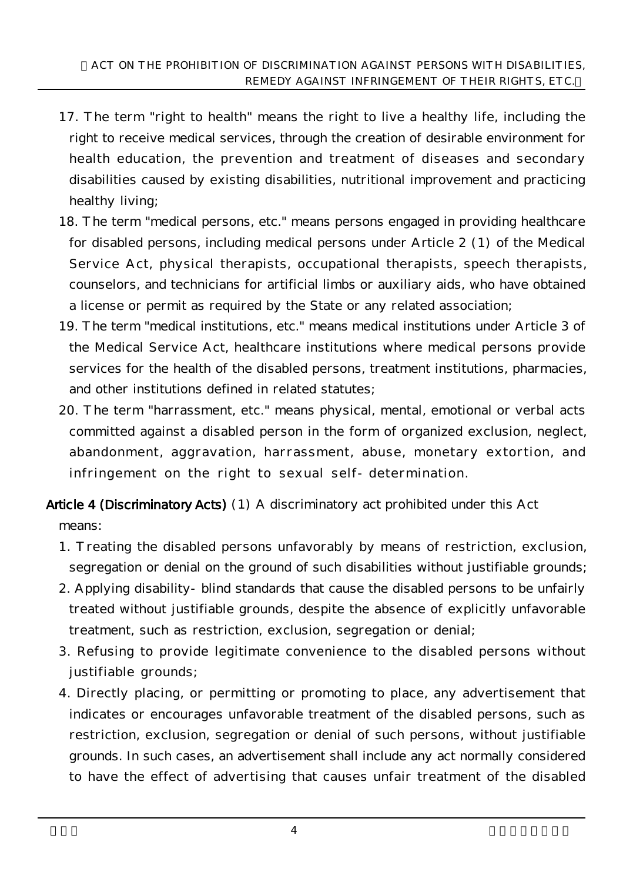- 17. The term "right to health" means the right to live a healthy life, including the right to receive medical services, through the creation of desirable environment for health education, the prevention and treatment of diseases and secondary disabilities caused by existing disabilities, nutritional improvement and practicing healthy living;
- 18. The term "medical persons, etc." means persons engaged in providing healthcare for disabled persons, including medical persons under Article 2 (1) of the Medical Service Act, physical therapists, occupational therapists, speech therapists, counselors, and technicians for artificial limbs or auxiliary aids, who have obtained a license or permit as required by the State or any related association;
- 19. The term "medical institutions, etc." means medical institutions under Article 3 of the Medical Service Act, healthcare institutions where medical persons provide services for the health of the disabled persons, treatment institutions, pharmacies, and other institutions defined in related statutes;
- 20. The term "harrassment, etc." means physical, mental, emotional or verbal acts committed against a disabled person in the form of organized exclusion, neglect, abandonment, aggravation, harrassment, abuse, monetary extortion, and infringement on the right to sexual self-determination.
- Article 4 (Discriminatory Acts) (1) A discriminatory act prohibited under this Act means:
	- 1. Treating the disabled persons unfavorably by means of restriction, exclusion, segregation or denial on the ground of such disabilities without justifiable grounds;
	- 2. Applying disability-blind standards that cause the disabled persons to be unfairly treated without justifiable grounds, despite the absence of explicitly unfavorable treatment, such as restriction, exclusion, segregation or denial;
	- 3. Refusing to provide legitimate convenience to the disabled persons without justifiable grounds;
	- 4. Directly placing, or permitting or promoting to place, any advertisement that indicates or encourages unfavorable treatment of the disabled persons, such as restriction, exclusion, segregation or denial of such persons, without justifiable grounds. In such cases, an advertisement shall include any act normally considered to have the effect of advertising that causes unfair treatment of the disabled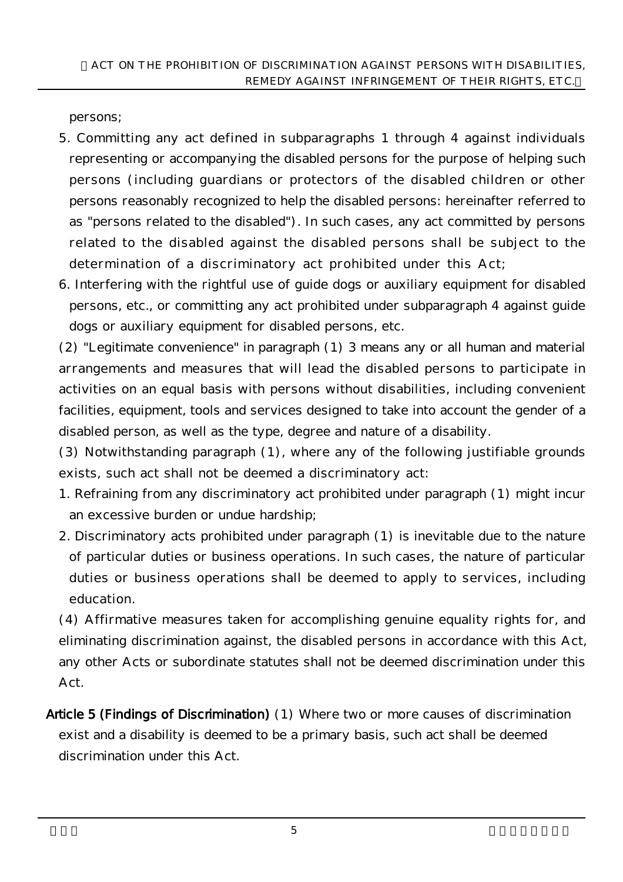persons;

- 5. Committing any act defined in subparagraphs 1 through 4 against individuals representing or accompanying the disabled persons for the purpose of helping such persons (including guardians or protectors of the disabled children or other persons reasonably recognized to help the disabled persons: hereinafter referred to as "persons related to the disabled"). In such cases, any act committed by persons related to the disabled against the disabled persons shall be subject to the determination of a discriminatory act prohibited under this Act;
- 6. Interfering with the rightful use of guide dogs or auxiliary equipment for disabled persons, etc., or committing any act prohibited under subparagraph 4 against guide dogs or auxiliary equipment for disabled persons, etc.

(2) "Legitimate convenience" in paragraph (1) 3 means any or all human and material arrangements and measures that will lead the disabled persons to participate in activities on an equal basis with persons without disabilities, including convenient facilities, equipment, tools and services designed to take into account the gender of a disabled person, as well as the type, degree and nature of a disability.

(3) Notwithstanding paragraph (1), where any of the following justifiable grounds exists, such act shall not be deemed a discriminatory act:

- 1. Refraining from any discriminatory act prohibited under paragraph (1) might incur an excessive burden or undue hardship;
- 2. Discriminatory acts prohibited under paragraph (1) is inevitable due to the nature of particular duties or business operations. In such cases, the nature of particular duties or business operations shall be deemed to apply to services, including education.

(4) Affirmative measures taken for accomplishing genuine equality rights for, and eliminating discrimination against, the disabled persons in accordance with this Act, any other Acts or subordinate statutes shall not be deemed discrimination under this Act.

Article 5 (Findings of Discrimination) (1) Where two or more causes of discrimination exist and a disability is deemed to be a primary basis, such act shall be deemed discrimination under this Act.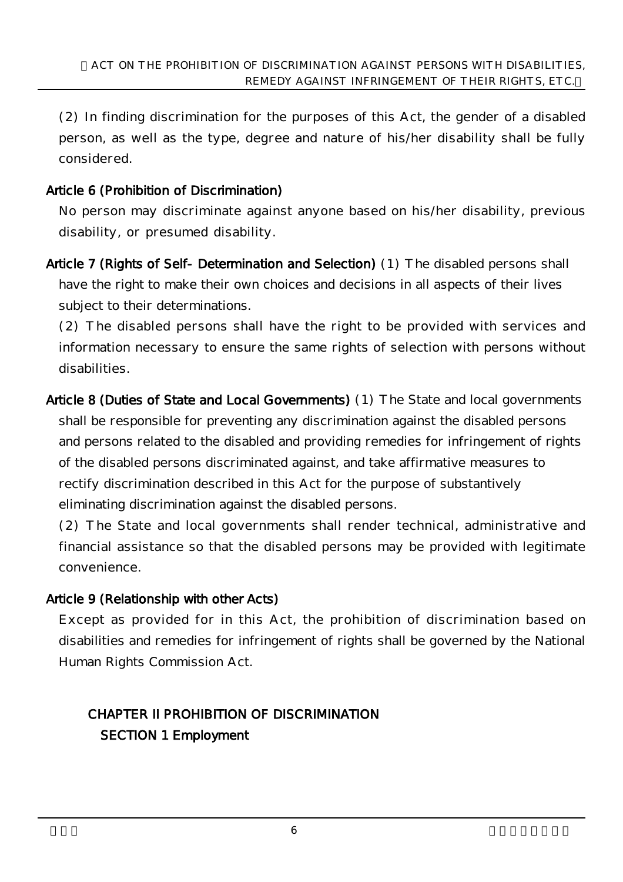(2) In finding discrimination for the purposes of this Act, the gender of a disabled person, as well as the type, degree and nature of his/her disability shall be fully considered.

### Article 6 (Prohibition of Discrimination)

No person may discriminate against anyone based on his/her disability, previous disability, or presumed disability.

Article 7 (Rights of Self-Determination and Selection) (1) The disabled persons shall have the right to make their own choices and decisions in all aspects of their lives subject to their determinations.

(2) The disabled persons shall have the right to be provided with services and information necessary to ensure the same rights of selection with persons without disabilities.

Article 8 (Duties of State and Local Governments) (1) The State and local governments shall be responsible for preventing any discrimination against the disabled persons and persons related to the disabled and providing remedies for infringement of rights of the disabled persons discriminated against, and take affirmative measures to rectify discrimination described in this Act for the purpose of substantively eliminating discrimination against the disabled persons.

(2) The State and local governments shall render technical, administrative and financial assistance so that the disabled persons may be provided with legitimate convenience.

### Article 9 (Relationship with other Acts)

Except as provided for in this Act, the prohibition of discrimination based on disabilities and remedies for infringement of rights shall be governed by the National Human Rights Commission Act.

# CHAPTER II PROHIBITION OF DISCRIMINATION SECTION 1 Employment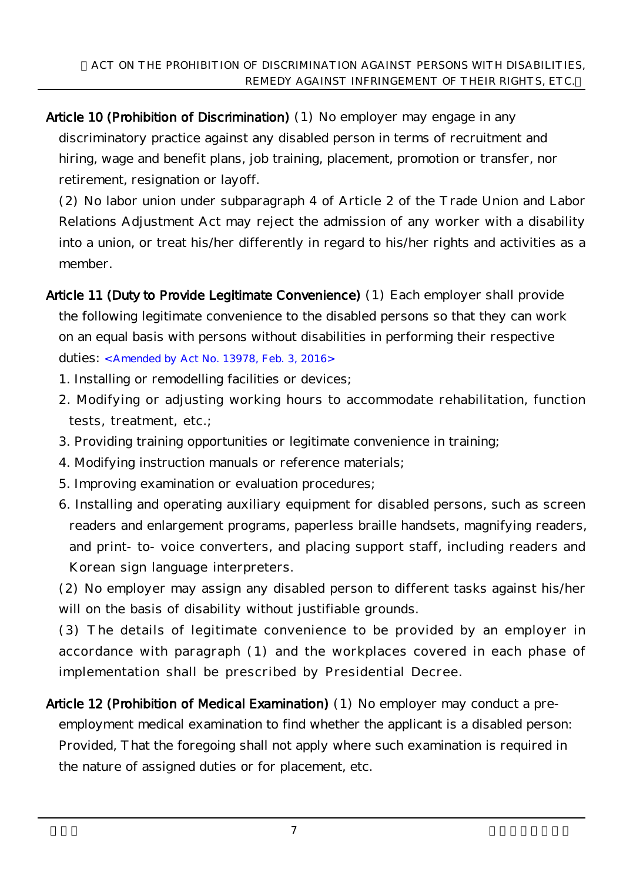Article 10 (Prohibition of Discrimination) (1) No employer may engage in any discriminatory practice against any disabled person in terms of recruitment and hiring, wage and benefit plans, job training, placement, promotion or transfer, nor retirement, resignation or layoff.

(2) No labor union under subparagraph 4 of Article 2 of the Trade Union and Labor Relations Adjustment Act may reject the admission of any worker with a disability into a union, or treat his/her differently in regard to his/her rights and activities as a member.

Article 11 (Duty to Provide Legitimate Convenience) (1) Each employer shall provide the following legitimate convenience to the disabled persons so that they can work on an equal basis with persons without disabilities in performing their respective duties: <Amended by Act No. 13978, Feb. 3, 2016>

- 1. Installing or remodelling facilities or devices;
- 2. Modifying or adjusting working hours to accommodate rehabilitation, function tests, treatment, etc.;
- 3. Providing training opportunities or legitimate convenience in training;
- 4. Modifying instruction manuals or reference materials;
- 5. Improving examination or evaluation procedures;
- 6. Installing and operating auxiliary equipment for disabled persons, such as screen readers and enlargement programs, paperless braille handsets, magnifying readers, and print-to-voice converters, and placing support staff, including readers and Korean sign language interpreters.

(2) No employer may assign any disabled person to different tasks against his/her will on the basis of disability without justifiable grounds.

(3) The details of legitimate convenience to be provided by an employer in accordance with paragraph (1) and the workplaces covered in each phase of implementation shall be prescribed by Presidential Decree.

Article 12 (Prohibition of Medical Examination) (1) No employer may conduct a preemployment medical examination to find whether the applicant is a disabled person: Provided, That the foregoing shall not apply where such examination is required in the nature of assigned duties or for placement, etc.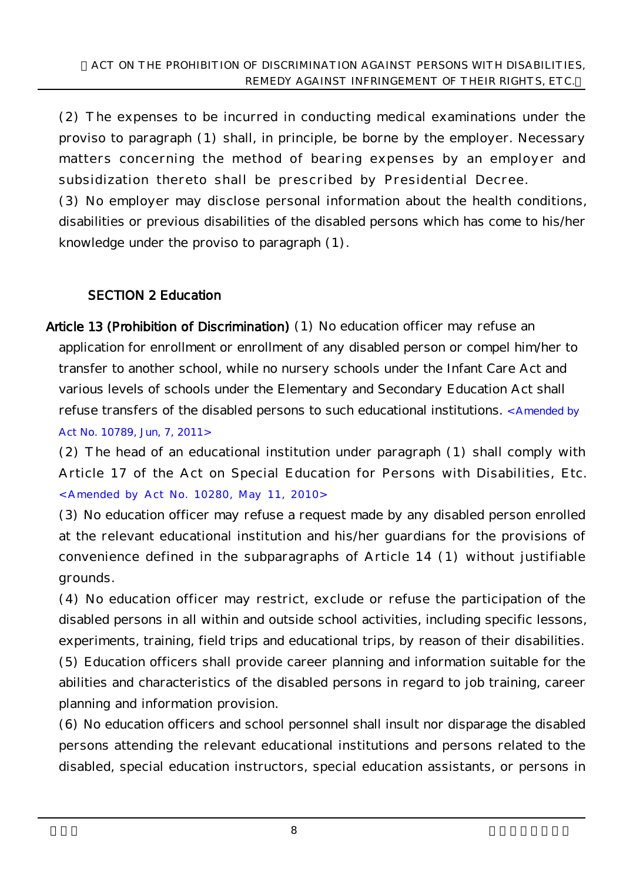(2) The expenses to be incurred in conducting medical examinations under the proviso to paragraph (1) shall, in principle, be borne by the employer. Necessary matters concerning the method of bearing expenses by an employer and subsidization thereto shall be prescribed by Presidential Decree.

(3) No employer may disclose personal information about the health conditions, disabilities or previous disabilities of the disabled persons which has come to his/her knowledge under the proviso to paragraph (1).

### SECTION 2 Education

Article 13 (Prohibition of Discrimination) (1) No education officer may refuse an application for enrollment or enrollment of any disabled person or compel him/her to transfer to another school, while no nursery schools under the Infant Care Act and various levels of schools under the Elementary and Secondary Education Act shall refuse transfers of the disabled persons to such educational institutions. <Amended by Act No. 10789, Jun, 7, 2011>

(2) The head of an educational institution under paragraph (1) shall comply with Article 17 of the Act on Special Education for Persons with Disabilities, Etc. <Amended by Act No. 10280, May 11, 2010>

(3) No education officer may refuse a request made by any disabled person enrolled at the relevant educational institution and his/her guardians for the provisions of convenience defined in the subparagraphs of Article 14 (1) without justifiable grounds.

(4) No education officer may restrict, exclude or refuse the participation of the disabled persons in all within and outside school activities, including specific lessons, experiments, training, field trips and educational trips, by reason of their disabilities. (5) Education officers shall provide career planning and information suitable for the abilities and characteristics of the disabled persons in regard to job training, career planning and information provision.

(6) No education officers and school personnel shall insult nor disparage the disabled persons attending the relevant educational institutions and persons related to the disabled, special education instructors, special education assistants, or persons in

 $8$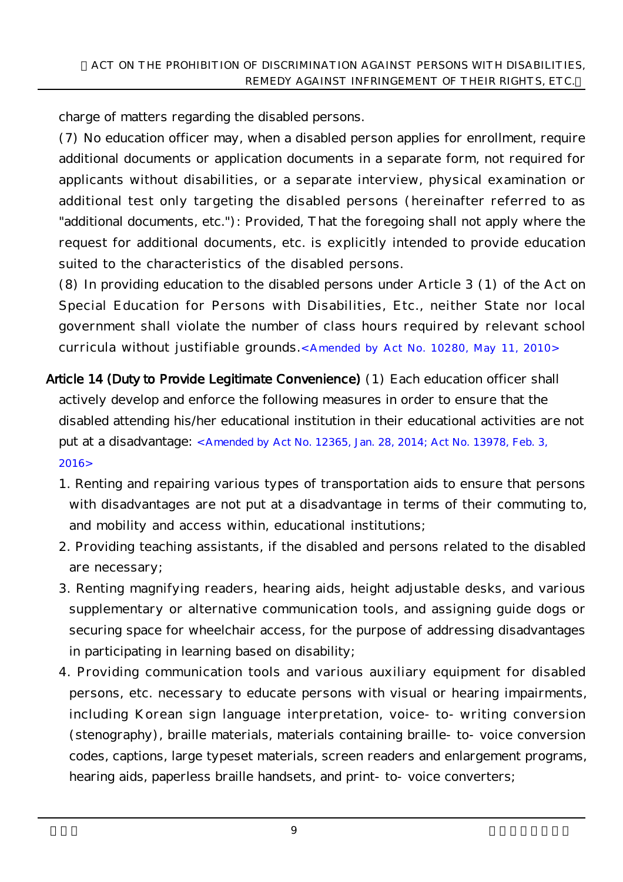charge of matters regarding the disabled persons.

(7) No education officer may, when a disabled person applies for enrollment, require additional documents or application documents in a separate form, not required for applicants without disabilities, or a separate interview, physical examination or additional test only targeting the disabled persons (hereinafter referred to as "additional documents, etc."): Provided, That the foregoing shall not apply where the request for additional documents, etc. is explicitly intended to provide education suited to the characteristics of the disabled persons.

(8) In providing education to the disabled persons under Article 3 (1) of the Act on Special Education for Persons with Disabilities, Etc., neither State nor local government shall violate the number of class hours required by relevant school curricula without justifiable grounds.<Amended by Act No. 10280, May 11, 2010>

- Article 14 (Duty to Provide Legitimate Convenience) (1) Each education officer shall actively develop and enforce the following measures in order to ensure that the disabled attending his/her educational institution in their educational activities are not put at a disadvantage: <Amended by Act No. 12365, Jan. 28, 2014; Act No. 13978, Feb. 3, 2016>
	- 1. Renting and repairing various types of transportation aids to ensure that persons with disadvantages are not put at a disadvantage in terms of their commuting to, and mobility and access within, educational institutions;
	- 2. Providing teaching assistants, if the disabled and persons related to the disabled are necessary;
	- 3. Renting magnifying readers, hearing aids, height adjustable desks, and various supplementary or alternative communication tools, and assigning guide dogs or securing space for wheelchair access, for the purpose of addressing disadvantages in participating in learning based on disability;
	- 4. Providing communication tools and various auxiliary equipment for disabled persons, etc. necessary to educate persons with visual or hearing impairments, including Korean sign language interpretation, voice-to-writing conversion (stenography), braille materials, materials containing braille-to-voice conversion codes, captions, large typeset materials, screen readers and enlargement programs, hearing aids, paperless braille handsets, and print- to-voice converters;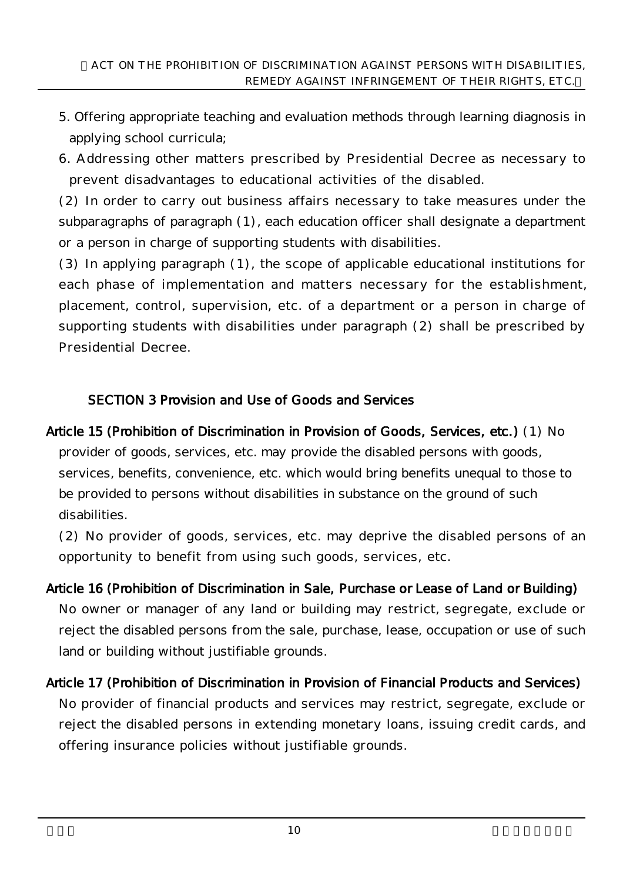- 5. Offering appropriate teaching and evaluation methods through learning diagnosis in applying school curricula;
- 6. Addressing other matters prescribed by Presidential Decree as necessary to prevent disadvantages to educational activities of the disabled.

(2) In order to carry out business affairs necessary to take measures under the subparagraphs of paragraph (1), each education officer shall designate a department or a person in charge of supporting students with disabilities.

(3) In applying paragraph (1), the scope of applicable educational institutions for each phase of implementation and matters necessary for the establishment, placement, control, supervision, etc. of a department or a person in charge of supporting students with disabilities under paragraph (2) shall be prescribed by Presidential Decree.

### SECTION 3 Provision and Use of Goods and Services

Article 15 (Prohibition of Discrimination in Provision of Goods, Services, etc.) (1) No provider of goods, services, etc. may provide the disabled persons with goods, services, benefits, convenience, etc. which would bring benefits unequal to those to be provided to persons without disabilities in substance on the ground of such disabilities.

(2) No provider of goods, services, etc. may deprive the disabled persons of an opportunity to benefit from using such goods, services, etc.

- Article 16 (Prohibition of Discrimination in Sale, Purchase or Lease of Land or Building) No owner or manager of any land or building may restrict, segregate, exclude or reject the disabled persons from the sale, purchase, lease, occupation or use of such land or building without justifiable grounds.
- Article 17 (Prohibition of Discrimination in Provision of Financial Products and Services) No provider of financial products and services may restrict, segregate, exclude or reject the disabled persons in extending monetary loans, issuing credit cards, and offering insurance policies without justifiable grounds.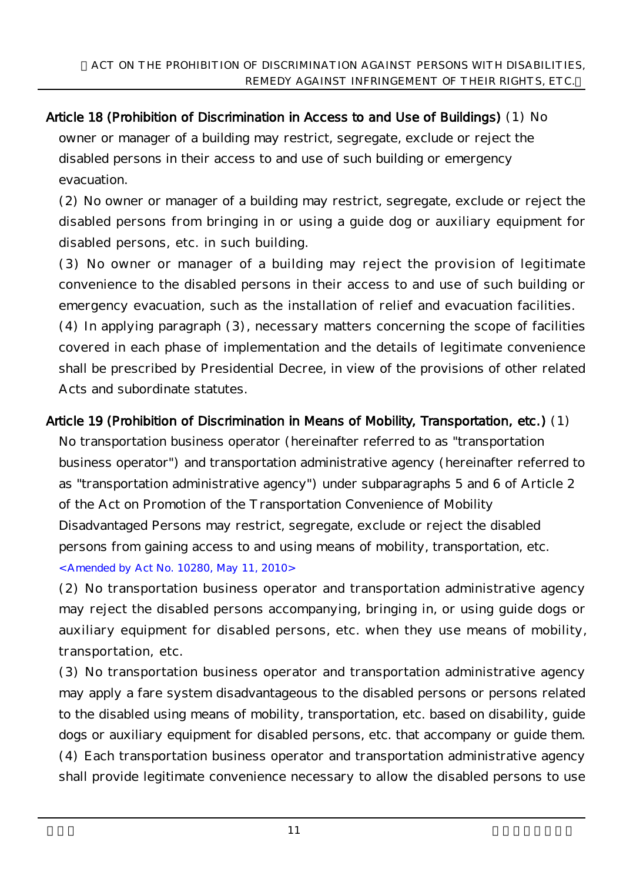Article 18 (Prohibition of Discrimination in Access to and Use of Buildings) (1) No owner or manager of a building may restrict, segregate, exclude or reject the disabled persons in their access to and use of such building or emergency evacuation.

(2) No owner or manager of a building may restrict, segregate, exclude or reject the disabled persons from bringing in or using a guide dog or auxiliary equipment for disabled persons, etc. in such building.

(3) No owner or manager of a building may reject the provision of legitimate convenience to the disabled persons in their access to and use of such building or emergency evacuation, such as the installation of relief and evacuation facilities. (4) In applying paragraph (3), necessary matters concerning the scope of facilities covered in each phase of implementation and the details of legitimate convenience

shall be prescribed by Presidential Decree, in view of the provisions of other related Acts and subordinate statutes.

Article 19 (Prohibition of Discrimination in Means of Mobility, Transportation, etc.) (1) No transportation business operator (hereinafter referred to as "transportation business operator") and transportation administrative agency (hereinafter referred to as "transportation administrative agency") under subparagraphs 5 and 6 of Article 2 of the Act on Promotion of the Transportation Convenience of Mobility Disadvantaged Persons may restrict, segregate, exclude or reject the disabled persons from gaining access to and using means of mobility, transportation, etc. <Amended by Act No. 10280, May 11, 2010>

(2) No transportation business operator and transportation administrative agency may reject the disabled persons accompanying, bringing in, or using guide dogs or auxiliary equipment for disabled persons, etc. when they use means of mobility, transportation, etc.

(3) No transportation business operator and transportation administrative agency may apply a fare system disadvantageous to the disabled persons or persons related to the disabled using means of mobility, transportation, etc. based on disability, guide dogs or auxiliary equipment for disabled persons, etc. that accompany or guide them. (4) Each transportation business operator and transportation administrative agency shall provide legitimate convenience necessary to allow the disabled persons to use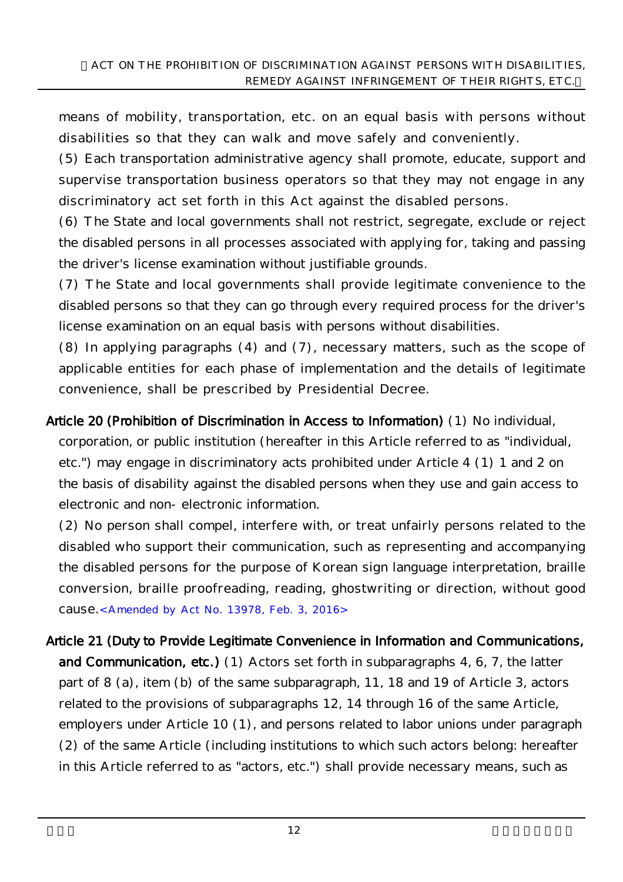means of mobility, transportation, etc. on an equal basis with persons without disabilities so that they can walk and move safely and conveniently.

(5) Each transportation administrative agency shall promote, educate, support and supervise transportation business operators so that they may not engage in any discriminatory act set forth in this Act against the disabled persons.

(6) The State and local governments shall not restrict, segregate, exclude or reject the disabled persons in all processes associated with applying for, taking and passing the driver's license examination without justifiable grounds.

(7) The State and local governments shall provide legitimate convenience to the disabled persons so that they can go through every required process for the driver's license examination on an equal basis with persons without disabilities.

(8) In applying paragraphs (4) and (7), necessary matters, such as the scope of applicable entities for each phase of implementation and the details of legitimate convenience, shall be prescribed by Presidential Decree.

Article 20 (Prohibition of Discrimination in Access to Information) (1) No individual, corporation, or public institution (hereafter in this Article referred to as "individual, etc.") may engage in discriminatory acts prohibited under Article 4 (1) 1 and 2 on the basis of disability against the disabled persons when they use and gain access to electronic and non-electronic information.

(2) No person shall compel, interfere with, or treat unfairly persons related to the disabled who support their communication, such as representing and accompanying the disabled persons for the purpose of Korean sign language interpretation, braille conversion, braille proofreading, reading, ghostwriting or direction, without good cause.<Amended by Act No. 13978, Feb. 3, 2016>

Article 21 (Duty to Provide Legitimate Convenience in Information and Communications, and Communication, etc.) (1) Actors set forth in subparagraphs 4, 6, 7, the latter part of 8 (a), item (b) of the same subparagraph, 11, 18 and 19 of Article 3, actors related to the provisions of subparagraphs 12, 14 through 16 of the same Article, employers under Article 10 (1), and persons related to labor unions under paragraph (2) of the same Article (including institutions to which such actors belong: hereafter in this Article referred to as "actors, etc.") shall provide necessary means, such as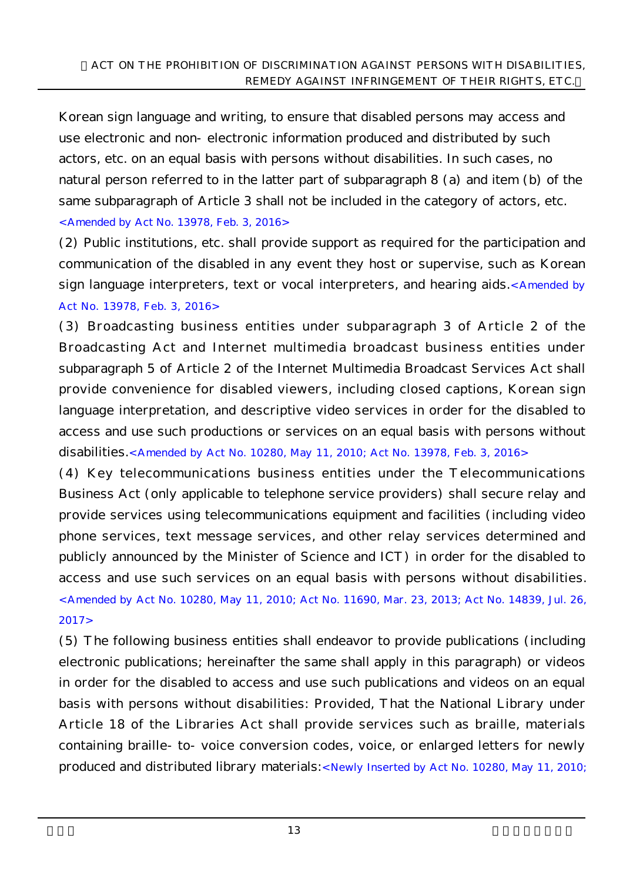Korean sign language and writing, to ensure that disabled persons may access and use electronic and non-electronic information produced and distributed by such actors, etc. on an equal basis with persons without disabilities. In such cases, no natural person referred to in the latter part of subparagraph 8 (a) and item (b) of the same subparagraph of Article 3 shall not be included in the category of actors, etc. <Amended by Act No. 13978, Feb. 3, 2016>

(2) Public institutions, etc. shall provide support as required for the participation and communication of the disabled in any event they host or supervise, such as Korean sign language interpreters, text or vocal interpreters, and hearing aids.<Amended by Act No. 13978, Feb. 3, 2016>

(3) Broadcasting business entities under subparagraph 3 of Article 2 of the Broadcasting Act and Internet multimedia broadcast business entities under subparagraph 5 of Article 2 of the Internet Multimedia Broadcast Services Act shall provide convenience for disabled viewers, including closed captions, Korean sign language interpretation, and descriptive video services in order for the disabled to access and use such productions or services on an equal basis with persons without disabilities.< Amended by Act No. 10280, May 11, 2010; Act No. 13978, Feb. 3, 2016>

(4) Key telecommunications business entities under the Telecommunications Business Act (only applicable to telephone service providers) shall secure relay and provide services using telecommunications equipment and facilities (including video phone services, text message services, and other relay services determined and publicly announced by the Minister of Science and ICT) in order for the disabled to access and use such services on an equal basis with persons without disabilities. <Amended by Act No. 10280, May 11, 2010; Act No. 11690, Mar. 23, 2013; Act No. 14839, Jul. 26, 2017>

(5) The following business entities shall endeavor to provide publications (including electronic publications; hereinafter the same shall apply in this paragraph) or videos in order for the disabled to access and use such publications and videos on an equal basis with persons without disabilities: Provided, That the National Library under Article 18 of the Libraries Act shall provide services such as braille, materials containing braille-to-voice conversion codes, voice, or enlarged letters for newly produced and distributed library materials:<Newly Inserted by Act No. 10280, May 11, 2010;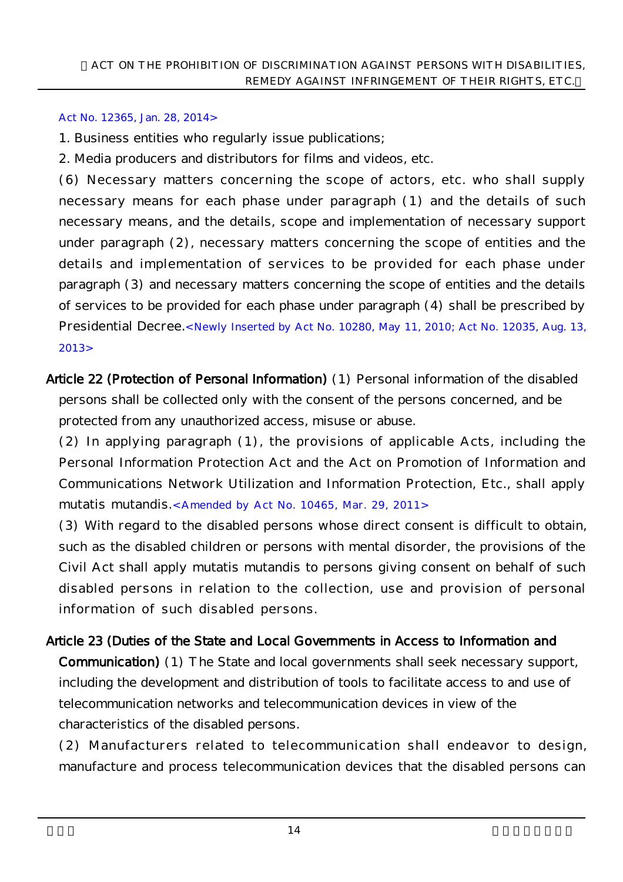#### Act No. 12365, Jan. 28, 2014>

- 1. Business entities who regularly issue publications;
- 2. Media producers and distributors for films and videos, etc.

(6) Necessary matters concerning the scope of actors, etc. who shall supply necessary means for each phase under paragraph (1) and the details of such necessary means, and the details, scope and implementation of necessary support under paragraph (2), necessary matters concerning the scope of entities and the details and implementation of services to be provided for each phase under paragraph (3) and necessary matters concerning the scope of entities and the details of services to be provided for each phase under paragraph (4) shall be prescribed by Presidential Decree.< Newly Inserted by Act No. 10280, May 11, 2010; Act No. 12035, Aug. 13, 2013>

Article 22 (Protection of Personal Information) (1) Personal information of the disabled persons shall be collected only with the consent of the persons concerned, and be protected from any unauthorized access, misuse or abuse.

(2) In applying paragraph (1), the provisions of applicable Acts, including the Personal Information Protection Act and the Act on Promotion of Information and Communications Network Utilization and Information Protection, Etc., shall apply mutatis mutandis.< Amended by Act No. 10465, Mar. 29, 2011>

(3) With regard to the disabled persons whose direct consent is difficult to obtain, such as the disabled children or persons with mental disorder, the provisions of the Civil Act shall apply mutatis mutandis to persons giving consent on behalf of such disabled persons in relation to the collection, use and provision of personal information of such disabled persons.

# Article 23 (Duties of the State and Local Governments in Access to Information and Communication) (1) The State and local governments shall seek necessary support, including the development and distribution of tools to facilitate access to and use of telecommunication networks and telecommunication devices in view of the characteristics of the disabled persons.

(2) Manufacturers related to telecommunication shall endeavor to design, manufacture and process telecommunication devices that the disabled persons can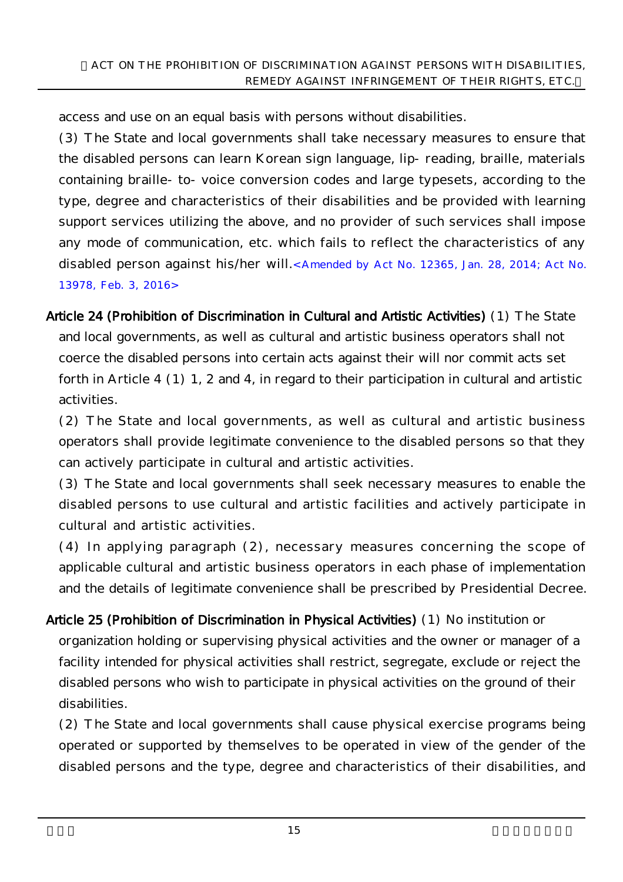access and use on an equal basis with persons without disabilities.

(3) The State and local governments shall take necessary measures to ensure that the disabled persons can learn Korean sign language, lip-reading, braille, materials containing braille-to-voice conversion codes and large typesets, according to the type, degree and characteristics of their disabilities and be provided with learning support services utilizing the above, and no provider of such services shall impose any mode of communication, etc. which fails to reflect the characteristics of any disabled person against his/her will.<Amended by Act No. 12365, Jan. 28, 2014; Act No. 13978, Feb. 3, 2016>

Article 24 (Prohibition of Discrimination in Cultural and Artistic Activities) (1) The State and local governments, as well as cultural and artistic business operators shall not coerce the disabled persons into certain acts against their will nor commit acts set forth in Article 4 (1) 1, 2 and 4, in regard to their participation in cultural and artistic activities.

(2) The State and local governments, as well as cultural and artistic business operators shall provide legitimate convenience to the disabled persons so that they can actively participate in cultural and artistic activities.

(3) The State and local governments shall seek necessary measures to enable the disabled persons to use cultural and artistic facilities and actively participate in cultural and artistic activities.

(4) In applying paragraph (2), necessary measures concerning the scope of applicable cultural and artistic business operators in each phase of implementation and the details of legitimate convenience shall be prescribed by Presidential Decree.

Article 25 (Prohibition of Discrimination in Physical Activities) (1) No institution or organization holding or supervising physical activities and the owner or manager of a facility intended for physical activities shall restrict, segregate, exclude or reject the disabled persons who wish to participate in physical activities on the ground of their disabilities.

(2) The State and local governments shall cause physical exercise programs being operated or supported by themselves to be operated in view of the gender of the disabled persons and the type, degree and characteristics of their disabilities, and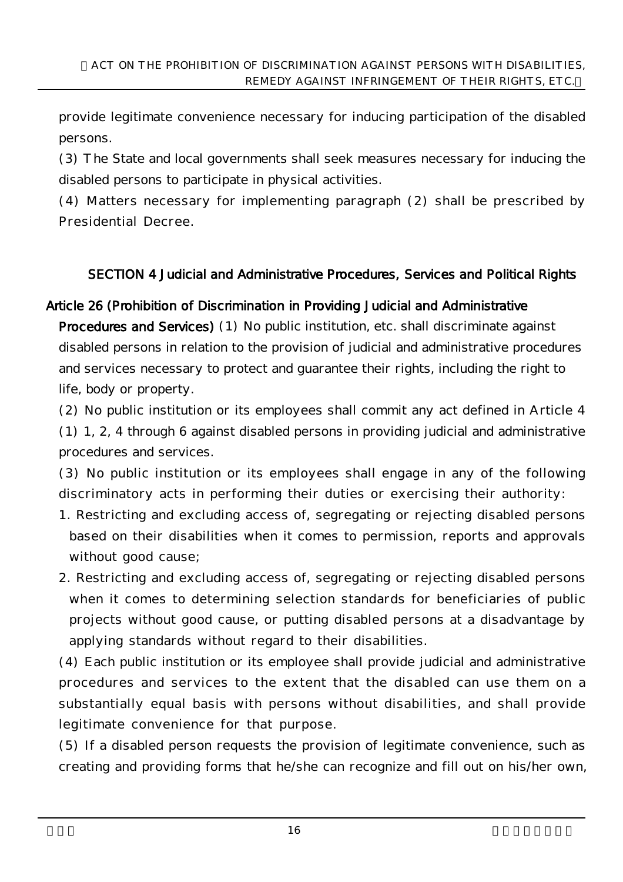provide legitimate convenience necessary for inducing participation of the disabled persons.

(3) The State and local governments shall seek measures necessary for inducing the disabled persons to participate in physical activities.

(4) Matters necessary for implementing paragraph (2) shall be prescribed by Presidential Decree.

### SECTION 4 Judicial and Administrative Procedures, Services and Political Rights

#### Article 26 (Prohibition of Discrimination in Providing Judicial and Administrative

Procedures and Services) (1) No public institution, etc. shall discriminate against disabled persons in relation to the provision of judicial and administrative procedures and services necessary to protect and guarantee their rights, including the right to life, body or property.

(2) No public institution or its employees shall commit any act defined in Article 4

(1) 1, 2, 4 through 6 against disabled persons in providing judicial and administrative procedures and services.

(3) No public institution or its employees shall engage in any of the following discriminatory acts in performing their duties or exercising their authority:

- 1. Restricting and excluding access of, segregating or rejecting disabled persons based on their disabilities when it comes to permission, reports and approvals without good cause;
- 2. Restricting and excluding access of, segregating or rejecting disabled persons when it comes to determining selection standards for beneficiaries of public projects without good cause, or putting disabled persons at a disadvantage by applying standards without regard to their disabilities.

(4) Each public institution or its employee shall provide judicial and administrative procedures and services to the extent that the disabled can use them on a substantially equal basis with persons without disabilities, and shall provide legitimate convenience for that purpose.

(5) If a disabled person requests the provision of legitimate convenience, such as creating and providing forms that he/she can recognize and fill out on his/her own,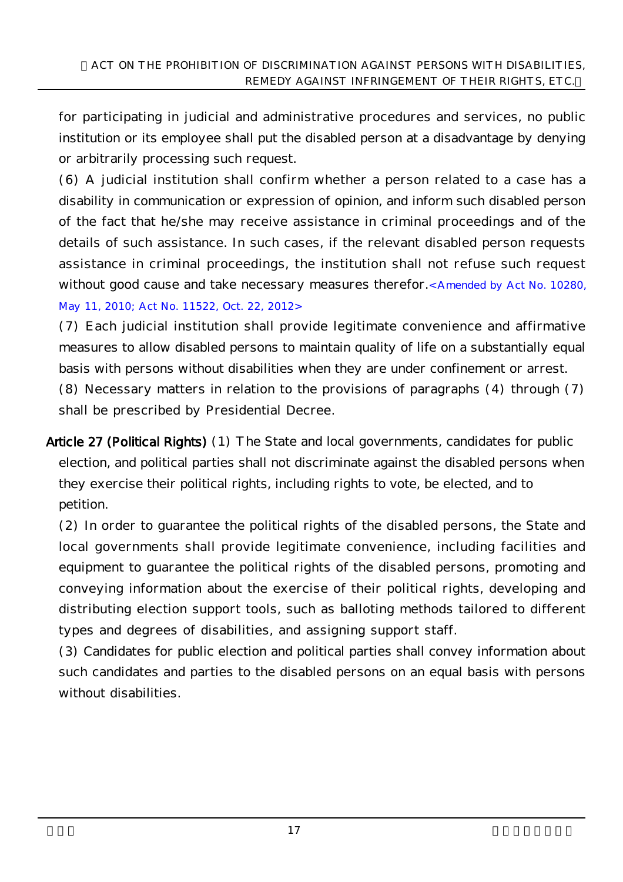for participating in judicial and administrative procedures and services, no public institution or its employee shall put the disabled person at a disadvantage by denying or arbitrarily processing such request.

(6) A judicial institution shall confirm whether a person related to a case has a disability in communication or expression of opinion, and inform such disabled person of the fact that he/she may receive assistance in criminal proceedings and of the details of such assistance. In such cases, if the relevant disabled person requests assistance in criminal proceedings, the institution shall not refuse such request without good cause and take necessary measures therefor.<Amended by Act No. 10280, May 11, 2010; Act No. 11522, Oct. 22, 2012>

(7) Each judicial institution shall provide legitimate convenience and affirmative measures to allow disabled persons to maintain quality of life on a substantially equal basis with persons without disabilities when they are under confinement or arrest. (8) Necessary matters in relation to the provisions of paragraphs (4) through (7) shall be prescribed by Presidential Decree.

Article 27 (Political Rights) (1) The State and local governments, candidates for public election, and political parties shall not discriminate against the disabled persons when they exercise their political rights, including rights to vote, be elected, and to petition.

(2) In order to guarantee the political rights of the disabled persons, the State and local governments shall provide legitimate convenience, including facilities and equipment to guarantee the political rights of the disabled persons, promoting and conveying information about the exercise of their political rights, developing and distributing election support tools, such as balloting methods tailored to different types and degrees of disabilities, and assigning support staff.

(3) Candidates for public election and political parties shall convey information about such candidates and parties to the disabled persons on an equal basis with persons without disabilities.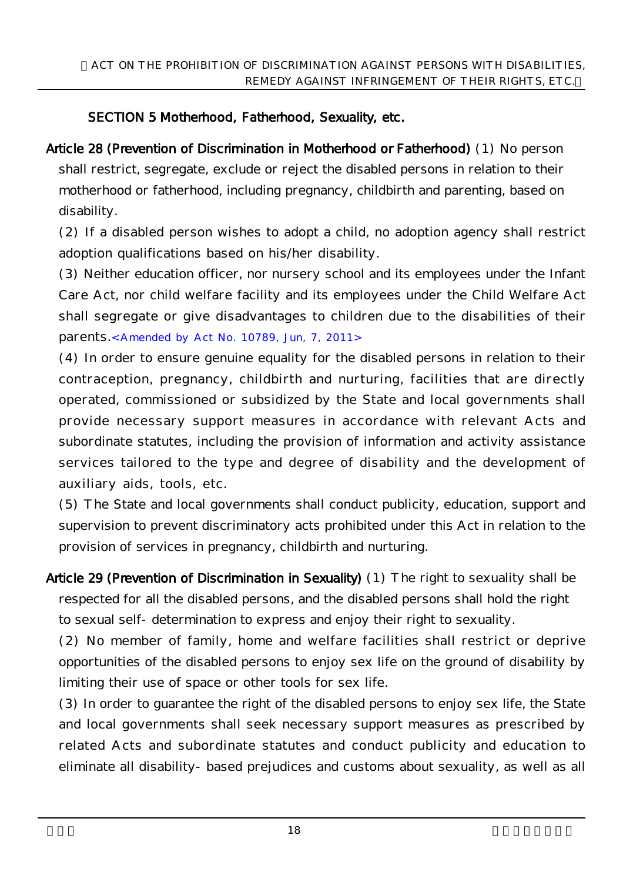# SECTION 5 Motherhood, Fatherhood, Sexuality, etc.

Article 28 (Prevention of Discrimination in Motherhood or Fatherhood) (1) No person shall restrict, segregate, exclude or reject the disabled persons in relation to their motherhood or fatherhood, including pregnancy, childbirth and parenting, based on disability.

(2) If a disabled person wishes to adopt a child, no adoption agency shall restrict adoption qualifications based on his/her disability.

(3) Neither education officer, nor nursery school and its employees under the Infant Care Act, nor child welfare facility and its employees under the Child Welfare Act shall segregate or give disadvantages to children due to the disabilities of their parents.<Amended by Act No. 10789, Jun, 7, 2011>

(4) In order to ensure genuine equality for the disabled persons in relation to their contraception, pregnancy, childbirth and nurturing, facilities that are directly operated, commissioned or subsidized by the State and local governments shall provide necessary support measures in accordance with relevant Acts and subordinate statutes, including the provision of information and activity assistance services tailored to the type and degree of disability and the development of auxiliary aids, tools, etc.

(5) The State and local governments shall conduct publicity, education, support and supervision to prevent discriminatory acts prohibited under this Act in relation to the provision of services in pregnancy, childbirth and nurturing.

Article 29 (Prevention of Discrimination in Sexuality) (1) The right to sexuality shall be respected for all the disabled persons, and the disabled persons shall hold the right to sexual self-determination to express and enjoy their right to sexuality.

(2) No member of family, home and welfare facilities shall restrict or deprive opportunities of the disabled persons to enjoy sex life on the ground of disability by limiting their use of space or other tools for sex life.

(3) In order to guarantee the right of the disabled persons to enjoy sex life, the State and local governments shall seek necessary support measures as prescribed by related Acts and subordinate statutes and conduct publicity and education to eliminate all disability-based prejudices and customs about sexuality, as well as all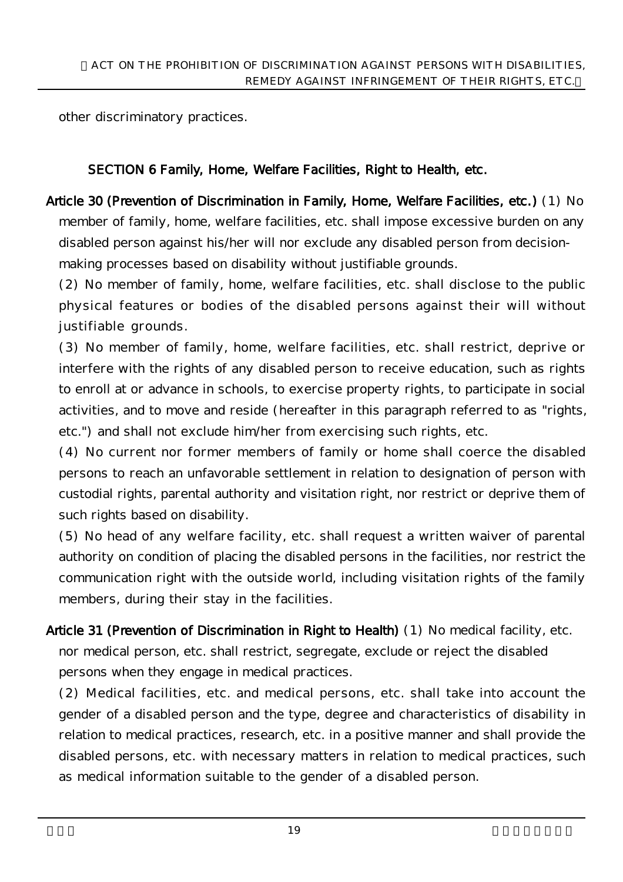other discriminatory practices.

## SECTION 6 Family, Home, Welfare Facilities, Right to Health, etc.

Article 30 (Prevention of Discrimination in Family, Home, Welfare Facilities, etc.) (1) No member of family, home, welfare facilities, etc. shall impose excessive burden on any disabled person against his/her will nor exclude any disabled person from decisionmaking processes based on disability without justifiable grounds.

(2) No member of family, home, welfare facilities, etc. shall disclose to the public physical features or bodies of the disabled persons against their will without justifiable grounds.

(3) No member of family, home, welfare facilities, etc. shall restrict, deprive or interfere with the rights of any disabled person to receive education, such as rights to enroll at or advance in schools, to exercise property rights, to participate in social activities, and to move and reside (hereafter in this paragraph referred to as "rights, etc.") and shall not exclude him/her from exercising such rights, etc.

(4) No current nor former members of family or home shall coerce the disabled persons to reach an unfavorable settlement in relation to designation of person with custodial rights, parental authority and visitation right, nor restrict or deprive them of such rights based on disability.

(5) No head of any welfare facility, etc. shall request a written waiver of parental authority on condition of placing the disabled persons in the facilities, nor restrict the communication right with the outside world, including visitation rights of the family members, during their stay in the facilities.

Article 31 (Prevention of Discrimination in Right to Health) (1) No medical facility, etc. nor medical person, etc. shall restrict, segregate, exclude or reject the disabled persons when they engage in medical practices.

(2) Medical facilities, etc. and medical persons, etc. shall take into account the gender of a disabled person and the type, degree and characteristics of disability in relation to medical practices, research, etc. in a positive manner and shall provide the disabled persons, etc. with necessary matters in relation to medical practices, such as medical information suitable to the gender of a disabled person.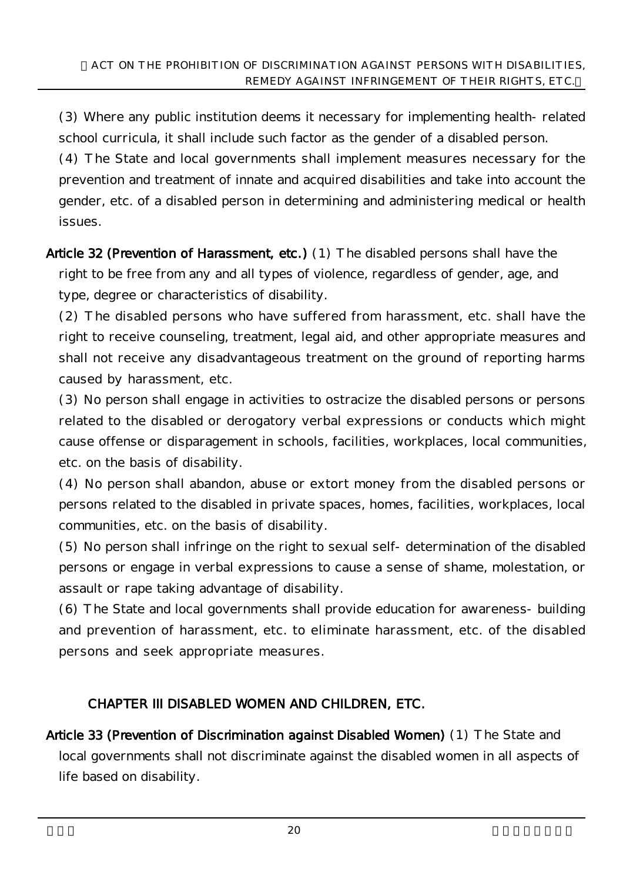(3) Where any public institution deems it necessary for implementing health-related school curricula, it shall include such factor as the gender of a disabled person.

(4) The State and local governments shall implement measures necessary for the prevention and treatment of innate and acquired disabilities and take into account the gender, etc. of a disabled person in determining and administering medical or health issues.

Article 32 (Prevention of Harassment, etc.) (1) The disabled persons shall have the right to be free from any and all types of violence, regardless of gender, age, and type, degree or characteristics of disability.

(2) The disabled persons who have suffered from harassment, etc. shall have the right to receive counseling, treatment, legal aid, and other appropriate measures and shall not receive any disadvantageous treatment on the ground of reporting harms caused by harassment, etc.

(3) No person shall engage in activities to ostracize the disabled persons or persons related to the disabled or derogatory verbal expressions or conducts which might cause offense or disparagement in schools, facilities, workplaces, local communities, etc. on the basis of disability.

(4) No person shall abandon, abuse or extort money from the disabled persons or persons related to the disabled in private spaces, homes, facilities, workplaces, local communities, etc. on the basis of disability.

(5) No person shall infringe on the right to sexual self-determination of the disabled persons or engage in verbal expressions to cause a sense of shame, molestation, or assault or rape taking advantage of disability.

(6) The State and local governments shall provide education for awareness-building and prevention of harassment, etc. to eliminate harassment, etc. of the disabled persons and seek appropriate measures.

### CHAPTER III DISABLED WOMEN AND CHILDREN, ETC.

Article 33 (Prevention of Discrimination against Disabled Women) (1) The State and local governments shall not discriminate against the disabled women in all aspects of life based on disability.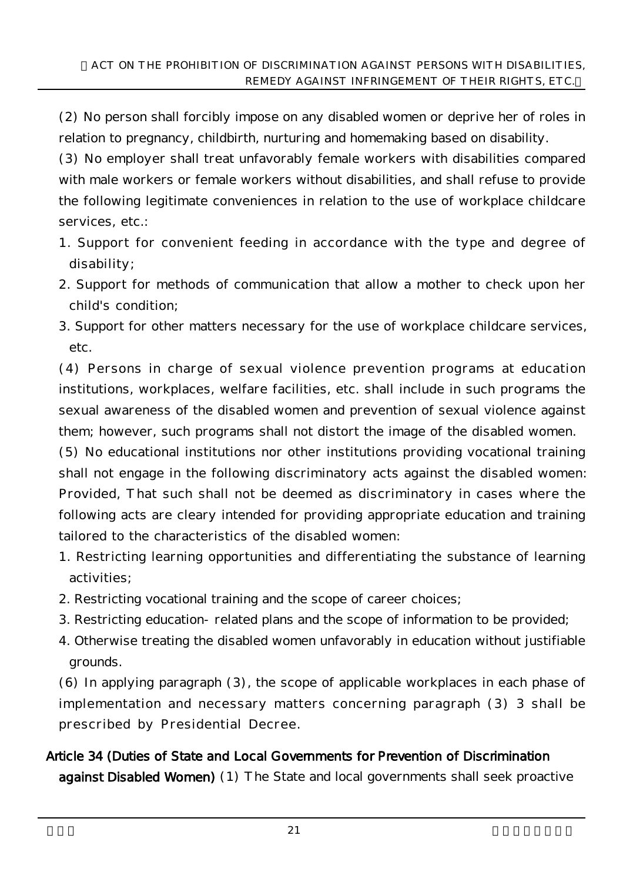(2) No person shall forcibly impose on any disabled women or deprive her of roles in relation to pregnancy, childbirth, nurturing and homemaking based on disability.

(3) No employer shall treat unfavorably female workers with disabilities compared with male workers or female workers without disabilities, and shall refuse to provide the following legitimate conveniences in relation to the use of workplace childcare services, etc.:

- 1. Support for convenient feeding in accordance with the type and degree of disability;
- 2. Support for methods of communication that allow a mother to check upon her child's condition;
- 3. Support for other matters necessary for the use of workplace childcare services, etc.

(4) Persons in charge of sexual violence prevention programs at education institutions, workplaces, welfare facilities, etc. shall include in such programs the sexual awareness of the disabled women and prevention of sexual violence against them; however, such programs shall not distort the image of the disabled women.

(5) No educational institutions nor other institutions providing vocational training shall not engage in the following discriminatory acts against the disabled women: Provided, That such shall not be deemed as discriminatory in cases where the following acts are cleary intended for providing appropriate education and training tailored to the characteristics of the disabled women:

- 1. Restricting learning opportunities and differentiating the substance of learning activities;
- 2. Restricting vocational training and the scope of career choices;
- 3. Restricting education-related plans and the scope of information to be provided;
- 4. Otherwise treating the disabled women unfavorably in education without justifiable grounds.

(6) In applying paragraph (3), the scope of applicable workplaces in each phase of implementation and necessary matters concerning paragraph (3) 3 shall be prescribed by Presidential Decree.

# Article 34 (Duties of State and Local Governments for Prevention of Discrimination against Disabled Women) (1) The State and local governments shall seek proactive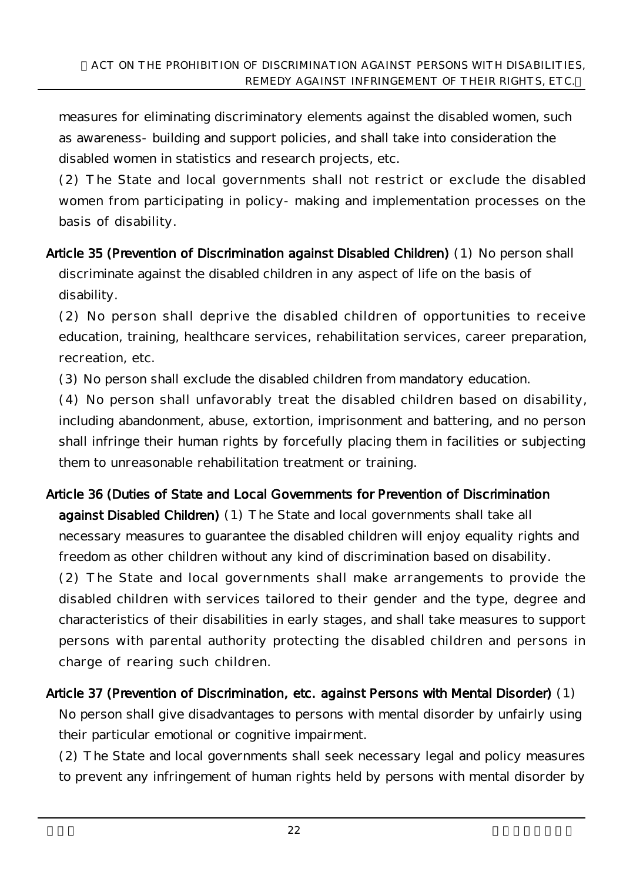measures for eliminating discriminatory elements against the disabled women, such as awareness-building and support policies, and shall take into consideration the disabled women in statistics and research projects, etc.

(2) The State and local governments shall not restrict or exclude the disabled women from participating in policy-making and implementation processes on the basis of disability.

Article 35 (Prevention of Discrimination against Disabled Children) (1) No person shall discriminate against the disabled children in any aspect of life on the basis of disability.

(2) No person shall deprive the disabled children of opportunities to receive education, training, healthcare services, rehabilitation services, career preparation, recreation, etc.

(3) No person shall exclude the disabled children from mandatory education.

(4) No person shall unfavorably treat the disabled children based on disability, including abandonment, abuse, extortion, imprisonment and battering, and no person shall infringe their human rights by forcefully placing them in facilities or subjecting them to unreasonable rehabilitation treatment or training.

# Article 36 (Duties of State and Local Governments for Prevention of Discrimination against Disabled Children) (1) The State and local governments shall take all necessary measures to guarantee the disabled children will enjoy equality rights and freedom as other children without any kind of discrimination based on disability.

(2) The State and local governments shall make arrangements to provide the disabled children with services tailored to their gender and the type, degree and characteristics of their disabilities in early stages, and shall take measures to support persons with parental authority protecting the disabled children and persons in charge of rearing such children.

# Article 37 (Prevention of Discrimination, etc. against Persons with Mental Disorder) (1)

No person shall give disadvantages to persons with mental disorder by unfairly using their particular emotional or cognitive impairment.

(2) The State and local governments shall seek necessary legal and policy measures to prevent any infringement of human rights held by persons with mental disorder by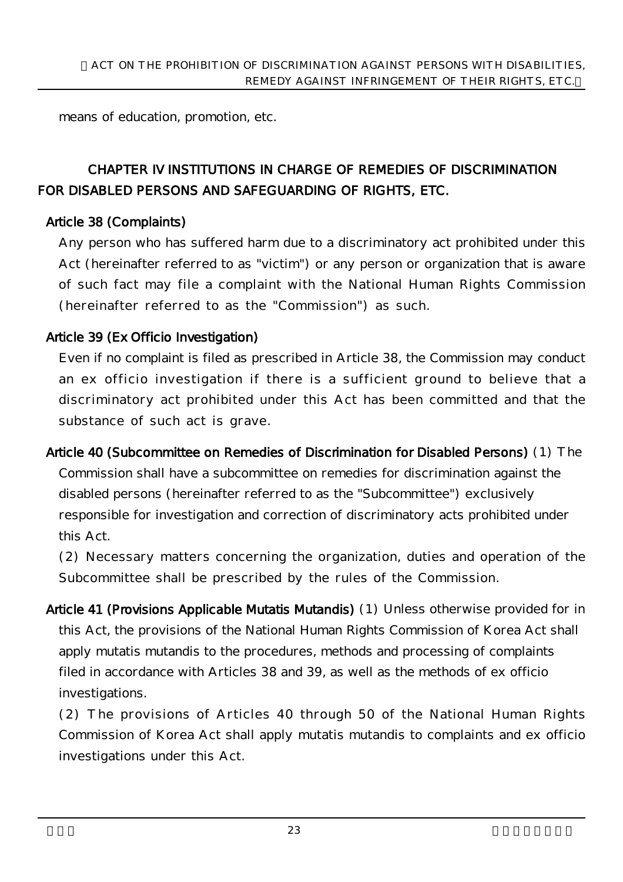means of education, promotion, etc.

# CHAPTER IV INSTITUTIONS IN CHARGE OF REMEDIES OF DISCRIMINATION FOR DISABLED PERSONS AND SAFEGUARDING OF RIGHTS, ETC.

### Article 38 (Complaints)

Any person who has suffered harm due to a discriminatory act prohibited under this Act (hereinafter referred to as "victim") or any person or organization that is aware of such fact may file a complaint with the National Human Rights Commission (hereinafter referred to as the "Commission") as such.

### Article 39 (Ex Officio Investigation)

Even if no complaint is filed as prescribed in Article 38, the Commission may conduct an ex officio investigation if there is a sufficient ground to believe that a discriminatory act prohibited under this Act has been committed and that the substance of such act is grave.

Article 40 (Subcommittee on Remedies of Discrimination for Disabled Persons) (1) The Commission shall have a subcommittee on remedies for discrimination against the disabled persons (hereinafter referred to as the "Subcommittee") exclusively responsible for investigation and correction of discriminatory acts prohibited under this Act.

(2) Necessary matters concerning the organization, duties and operation of the Subcommittee shall be prescribed by the rules of the Commission.

Article 41 (Provisions Applicable Mutatis Mutandis) (1) Unless otherwise provided for in this Act, the provisions of the National Human Rights Commission of Korea Act shall apply mutatis mutandis to the procedures, methods and processing of complaints filed in accordance with Articles 38 and 39, as well as the methods of ex officio investigations.

(2) The provisions of Articles 40 through 50 of the National Human Rights Commission of Korea Act shall apply mutatis mutandis to complaints and ex officio investigations under this Act.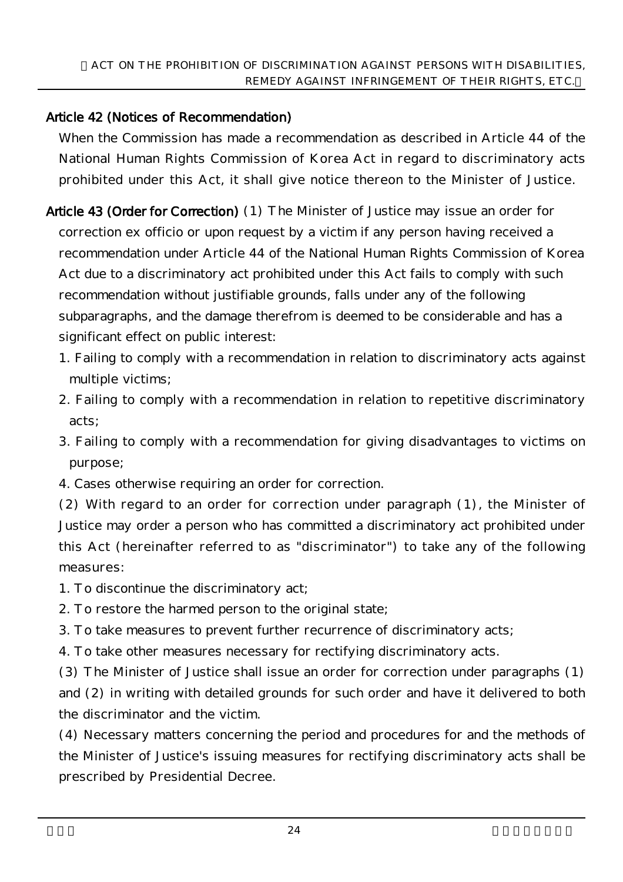## Article 42 (Notices of Recommendation)

When the Commission has made a recommendation as described in Article 44 of the National Human Rights Commission of Korea Act in regard to discriminatory acts prohibited under this Act, it shall give notice thereon to the Minister of Justice.

- Article 43 (Order for Correction) (1) The Minister of Justice may issue an order for correction ex officio or upon request by a victim if any person having received a recommendation under Article 44 of the National Human Rights Commission of Korea Act due to a discriminatory act prohibited under this Act fails to comply with such recommendation without justifiable grounds, falls under any of the following subparagraphs, and the damage therefrom is deemed to be considerable and has a significant effect on public interest:
	- 1. Failing to comply with a recommendation in relation to discriminatory acts against multiple victims;
	- 2. Failing to comply with a recommendation in relation to repetitive discriminatory acts;
	- 3. Failing to comply with a recommendation for giving disadvantages to victims on purpose;
	- 4. Cases otherwise requiring an order for correction.

(2) With regard to an order for correction under paragraph (1), the Minister of Justice may order a person who has committed a discriminatory act prohibited under this Act (hereinafter referred to as "discriminator") to take any of the following measures:

- 1. To discontinue the discriminatory act;
- 2. To restore the harmed person to the original state;
- 3. To take measures to prevent further recurrence of discriminatory acts;
- 4. To take other measures necessary for rectifying discriminatory acts.

(3) The Minister of Justice shall issue an order for correction under paragraphs (1) and (2) in writing with detailed grounds for such order and have it delivered to both the discriminator and the victim.

(4) Necessary matters concerning the period and procedures for and the methods of the Minister of Justice's issuing measures for rectifying discriminatory acts shall be prescribed by Presidential Decree.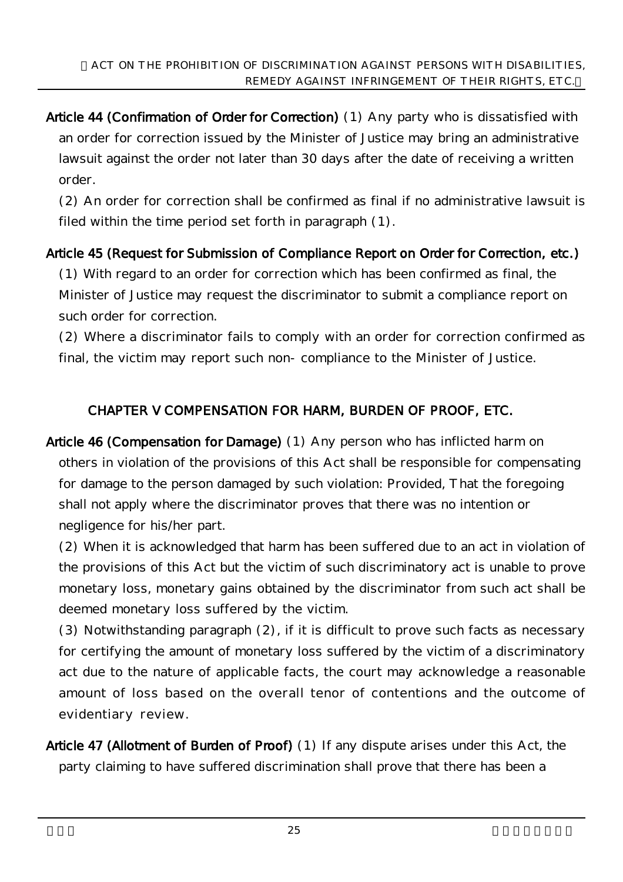Article 44 (Confirmation of Order for Correction) (1) Any party who is dissatisfied with an order for correction issued by the Minister of Justice may bring an administrative lawsuit against the order not later than 30 days after the date of receiving a written order.

(2) An order for correction shall be confirmed as final if no administrative lawsuit is filed within the time period set forth in paragraph (1).

### Article 45 (Request for Submission of Compliance Report on Order for Correction, etc.)

(1) With regard to an order for correction which has been confirmed as final, the Minister of Justice may request the discriminator to submit a compliance report on such order for correction.

(2) Where a discriminator fails to comply with an order for correction confirmed as final, the victim may report such non-compliance to the Minister of Justice.

## CHAPTER V COMPENSATION FOR HARM, BURDEN OF PROOF, ETC.

Article 46 (Compensation for Damage) (1) Any person who has inflicted harm on others in violation of the provisions of this Act shall be responsible for compensating for damage to the person damaged by such violation: Provided, That the foregoing shall not apply where the discriminator proves that there was no intention or negligence for his/her part.

(2) When it is acknowledged that harm has been suffered due to an act in violation of the provisions of this Act but the victim of such discriminatory act is unable to prove monetary loss, monetary gains obtained by the discriminator from such act shall be deemed monetary loss suffered by the victim.

(3) Notwithstanding paragraph (2), if it is difficult to prove such facts as necessary for certifying the amount of monetary loss suffered by the victim of a discriminatory act due to the nature of applicable facts, the court may acknowledge a reasonable amount of loss based on the overall tenor of contentions and the outcome of evidentiary review.

Article 47 (Allotment of Burden of Proof) (1) If any dispute arises under this Act, the party claiming to have suffered discrimination shall prove that there has been a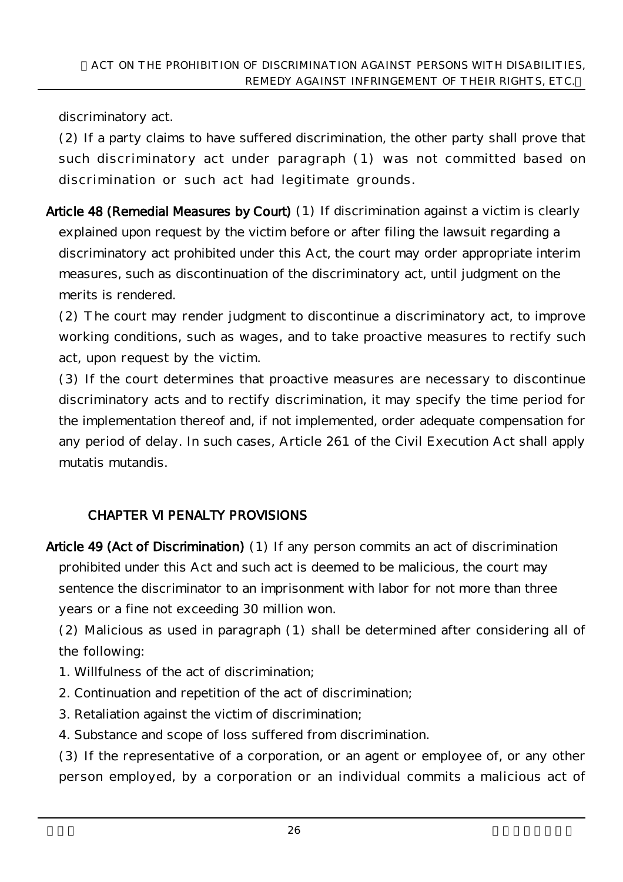discriminatory act.

(2) If a party claims to have suffered discrimination, the other party shall prove that such discriminatory act under paragraph (1) was not committed based on discrimination or such act had legitimate grounds.

Article 48 (Remedial Measures by Court) (1) If discrimination against a victim is clearly explained upon request by the victim before or after filing the lawsuit regarding a discriminatory act prohibited under this Act, the court may order appropriate interim measures, such as discontinuation of the discriminatory act, until judgment on the merits is rendered.

(2) The court may render judgment to discontinue a discriminatory act, to improve working conditions, such as wages, and to take proactive measures to rectify such act, upon request by the victim.

(3) If the court determines that proactive measures are necessary to discontinue discriminatory acts and to rectify discrimination, it may specify the time period for the implementation thereof and, if not implemented, order adequate compensation for any period of delay. In such cases, Article 261 of the Civil Execution Act shall apply mutatis mutandis.

# CHAPTER VI PENALTY PROVISIONS

Article 49 (Act of Discrimination) (1) If any person commits an act of discrimination prohibited under this Act and such act is deemed to be malicious, the court may sentence the discriminator to an imprisonment with labor for not more than three years or a fine not exceeding 30 million won.

(2) Malicious as used in paragraph (1) shall be determined after considering all of the following:

- 1. Willfulness of the act of discrimination;
- 2. Continuation and repetition of the act of discrimination;
- 3. Retaliation against the victim of discrimination;
- 4. Substance and scope of loss suffered from discrimination.

(3) If the representative of a corporation, or an agent or employee of, or any other person employed, by a corporation or an individual commits a malicious act of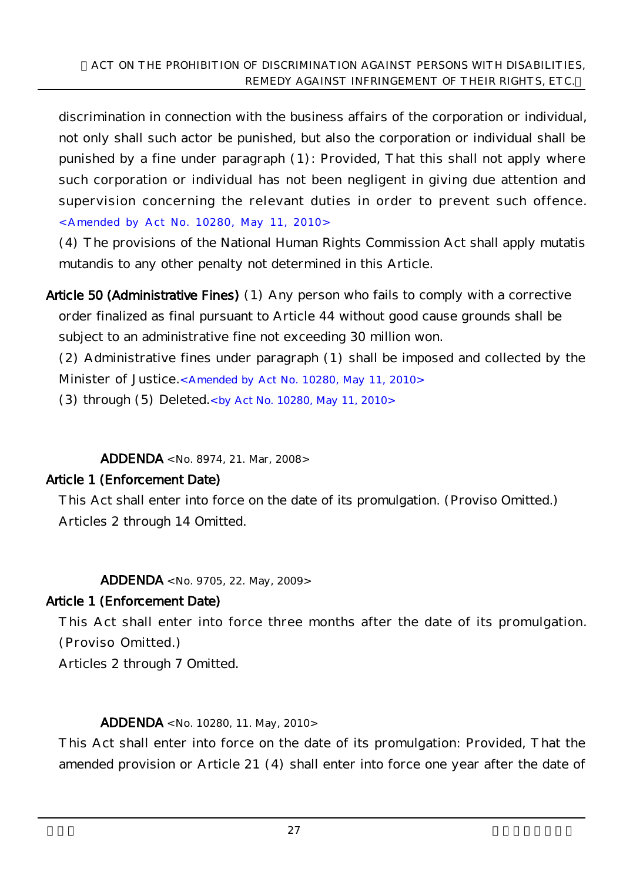discrimination in connection with the business affairs of the corporation or individual, not only shall such actor be punished, but also the corporation or individual shall be punished by a fine under paragraph (1): Provided, That this shall not apply where such corporation or individual has not been negligent in giving due attention and supervision concerning the relevant duties in order to prevent such offence. <Amended by Act No. 10280, May 11, 2010>

(4) The provisions of the National Human Rights Commission Act shall apply mutatis mutandis to any other penalty not determined in this Article.

Article 50 (Administrative Fines) (1) Any person who fails to comply with a corrective order finalized as final pursuant to Article 44 without good cause grounds shall be subject to an administrative fine not exceeding 30 million won.

(2) Administrative fines under paragraph (1) shall be imposed and collected by the Minister of Justice.< Amended by Act No. 10280, May 11, 2010>

(3) through  $(5)$  Deleted.<br/><br/>  $\chi$  Act No. 10280, May 11, 2010>

ADDENDA <No. 8974, 21. Mar, 2008>

### Article 1 (Enforcement Date)

This Act shall enter into force on the date of its promulgation. (Proviso Omitted.) Articles 2 through 14 Omitted.

ADDENDA <No. 9705, 22. May, 2009>

### Article 1 (Enforcement Date)

This Act shall enter into force three months after the date of its promulgation. (Proviso Omitted.)

Articles 2 through 7 Omitted.

#### ADDENDA <No. 10280, 11. May, 2010>

This Act shall enter into force on the date of its promulgation: Provided, That the amended provision or Article 21 (4) shall enter into force one year after the date of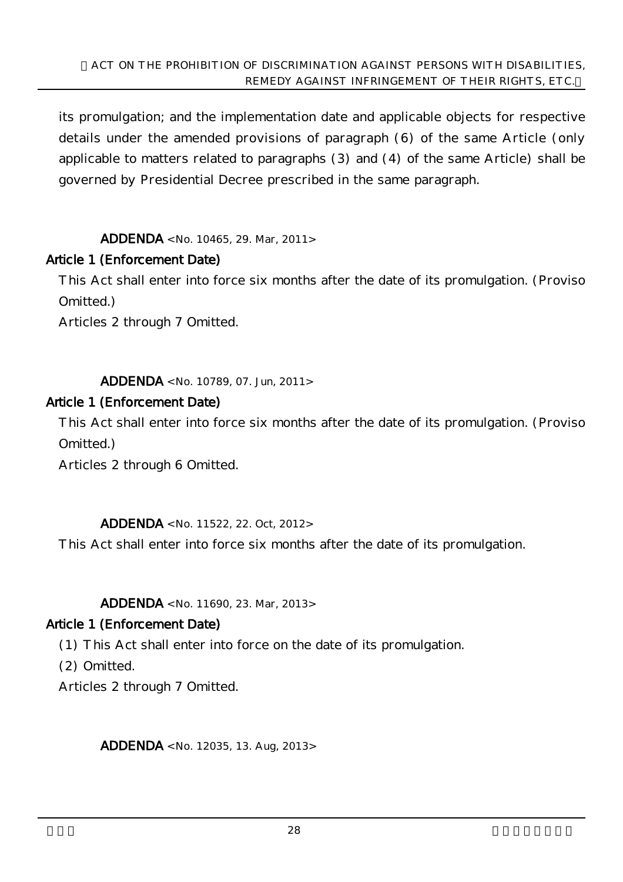its promulgation; and the implementation date and applicable objects for respective details under the amended provisions of paragraph (6) of the same Article (only applicable to matters related to paragraphs (3) and (4) of the same Article) shall be governed by Presidential Decree prescribed in the same paragraph.

ADDENDA <No. 10465, 29. Mar, 2011>

#### Article 1 (Enforcement Date)

This Act shall enter into force six months after the date of its promulgation. (Proviso Omitted.)

Articles 2 through 7 Omitted.

ADDENDA <No. 10789, 07. Jun, 2011>

#### Article 1 (Enforcement Date)

This Act shall enter into force six months after the date of its promulgation. (Proviso Omitted.)

Articles 2 through 6 Omitted.

ADDENDA <No. 11522, 22. Oct, 2012>

This Act shall enter into force six months after the date of its promulgation.

ADDENDA <No. 11690, 23. Mar, 2013>

#### Article 1 (Enforcement Date)

(1) This Act shall enter into force on the date of its promulgation.

(2) Omitted.

Articles 2 through 7 Omitted.

ADDENDA <No. 12035, 13. Aug, 2013>